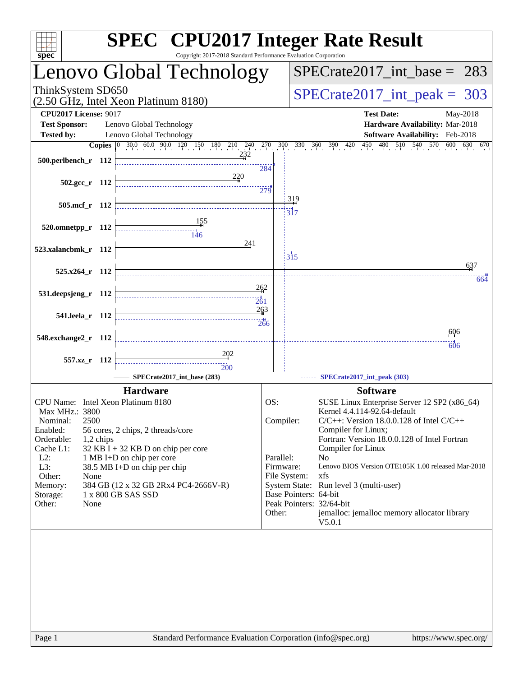| spec <sup>®</sup>            |                        |                                                           | Copyright 2017-2018 Standard Performance Evaluation Corporation |                  |                  | <b>SPEC<sup>®</sup></b> CPU2017 Integer Rate Result                          |         |
|------------------------------|------------------------|-----------------------------------------------------------|-----------------------------------------------------------------|------------------|------------------|------------------------------------------------------------------------------|---------|
|                              |                        |                                                           | Lenovo Global Technology                                        |                  |                  | $SPECrate2017\_int\_base = 283$                                              |         |
| ThinkSystem SD650            |                        | (2.50 GHz, Intel Xeon Platinum 8180)                      |                                                                 |                  |                  | $SPECTate2017$ _int_peak = 303                                               |         |
| <b>CPU2017 License: 9017</b> |                        |                                                           |                                                                 |                  |                  | <b>Test Date:</b><br>May-2018                                                |         |
| <b>Test Sponsor:</b>         |                        | Lenovo Global Technology                                  |                                                                 |                  |                  | Hardware Availability: Mar-2018                                              |         |
| <b>Tested by:</b>            |                        | Lenovo Global Technology                                  |                                                                 |                  |                  | Software Availability: Feb-2018                                              |         |
|                              | <b>Copies</b>          |                                                           |                                                                 |                  |                  | 510 540 570 600<br>$300$ $330$ $360$ $390$ $420$ $450$ $480$ 5<br>600        | 630 670 |
| 500.perlbench_r 112          |                        |                                                           |                                                                 |                  |                  |                                                                              |         |
|                              |                        |                                                           |                                                                 | 284              |                  |                                                                              |         |
|                              | $502.\text{gcc r}$ 112 |                                                           | 220                                                             |                  |                  |                                                                              |         |
|                              |                        |                                                           |                                                                 | 279              |                  |                                                                              |         |
|                              | 505.mcf_r 112          |                                                           |                                                                 |                  | 319              |                                                                              |         |
|                              |                        |                                                           |                                                                 |                  | $\frac{1}{317}$  |                                                                              |         |
| 520.omnetpp_r 112            |                        |                                                           |                                                                 |                  |                  |                                                                              |         |
|                              |                        |                                                           |                                                                 |                  |                  |                                                                              |         |
| 523.xalancbmk_r 112          |                        |                                                           | 241                                                             |                  |                  |                                                                              |         |
|                              |                        |                                                           |                                                                 |                  | $\frac{1}{3}$ 15 |                                                                              |         |
|                              | $525.x264$ r 112       |                                                           |                                                                 |                  |                  |                                                                              | 637     |
|                              |                        |                                                           |                                                                 |                  |                  |                                                                              | 664     |
| 531.deepsjeng_r 112          |                        |                                                           |                                                                 | 262              |                  |                                                                              |         |
|                              |                        |                                                           |                                                                 | $\overline{261}$ |                  |                                                                              |         |
|                              | 541.leela r 112        |                                                           |                                                                 | 263              |                  |                                                                              |         |
|                              |                        |                                                           |                                                                 | 266              |                  |                                                                              |         |
| 548.exchange2_r 112          |                        |                                                           |                                                                 |                  |                  | 606                                                                          |         |
|                              |                        |                                                           |                                                                 |                  |                  | 606                                                                          |         |
|                              | 557.xz_r 112           |                                                           | 202                                                             |                  |                  |                                                                              |         |
|                              |                        |                                                           | 200<br>SPECrate2017_int_base (283)                              |                  |                  | SPECrate2017_int_peak (303)                                                  |         |
|                              |                        |                                                           |                                                                 |                  |                  |                                                                              |         |
|                              |                        | <b>Hardware</b>                                           |                                                                 |                  |                  | <b>Software</b>                                                              |         |
| Max MHz.: 3800               |                        | CPU Name: Intel Xeon Platinum 8180                        |                                                                 | OS:              |                  | SUSE Linux Enterprise Server 12 SP2 (x86_64)<br>Kernel 4.4.114-92.64-default |         |
| Nominal:                     | 2500                   |                                                           |                                                                 |                  | Compiler:        | $C/C++$ : Version 18.0.0.128 of Intel $C/C++$                                |         |
| Enabled:                     |                        | 56 cores, 2 chips, 2 threads/core                         |                                                                 |                  |                  | Compiler for Linux;                                                          |         |
| Orderable:                   | 1,2 chips              |                                                           |                                                                 |                  |                  | Fortran: Version 18.0.0.128 of Intel Fortran                                 |         |
| Cache L1:                    |                        | $32$ KB I + 32 KB D on chip per core                      |                                                                 |                  | Parallel:        | Compiler for Linux<br>N <sub>o</sub>                                         |         |
| $L2$ :<br>L3:                |                        | 1 MB I+D on chip per core<br>38.5 MB I+D on chip per chip |                                                                 |                  | Firmware:        | Lenovo BIOS Version OTE105K 1.00 released Mar-2018                           |         |
| Other:                       | None                   |                                                           |                                                                 |                  | File System:     | xfs                                                                          |         |
| Memory:                      |                        |                                                           | 384 GB (12 x 32 GB 2Rx4 PC4-2666V-R)                            |                  |                  | System State: Run level 3 (multi-user)                                       |         |
| Storage:                     |                        | 1 x 800 GB SAS SSD                                        |                                                                 |                  |                  | Base Pointers: 64-bit                                                        |         |
| Other:                       | None                   |                                                           |                                                                 |                  | Other:           | Peak Pointers: 32/64-bit<br>jemalloc: jemalloc memory allocator library      |         |
|                              |                        |                                                           |                                                                 |                  |                  | V5.0.1                                                                       |         |
|                              |                        |                                                           |                                                                 |                  |                  |                                                                              |         |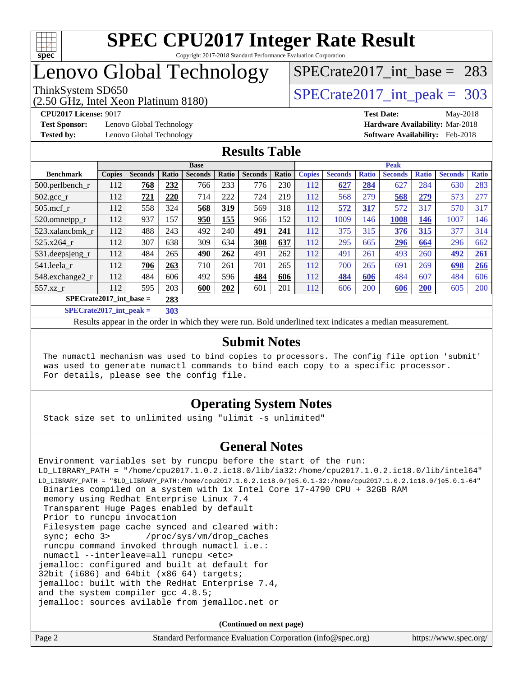

# Lenovo Global Technology

(2.50 GHz, Intel Xeon Platinum 8180)

**[Test Sponsor:](http://www.spec.org/auto/cpu2017/Docs/result-fields.html#TestSponsor)** Lenovo Global Technology **[Hardware Availability:](http://www.spec.org/auto/cpu2017/Docs/result-fields.html#HardwareAvailability)** Mar-2018

[SPECrate2017\\_int\\_base =](http://www.spec.org/auto/cpu2017/Docs/result-fields.html#SPECrate2017intbase) 283

ThinkSystem SD650<br>  $(2.50 \text{ GHz. Intel Yoon Plotinum } 8180)$  [SPECrate2017\\_int\\_peak =](http://www.spec.org/auto/cpu2017/Docs/result-fields.html#SPECrate2017intpeak) 303

**[CPU2017 License:](http://www.spec.org/auto/cpu2017/Docs/result-fields.html#CPU2017License)** 9017 **[Test Date:](http://www.spec.org/auto/cpu2017/Docs/result-fields.html#TestDate)** May-2018 **[Tested by:](http://www.spec.org/auto/cpu2017/Docs/result-fields.html#Testedby)** Lenovo Global Technology **[Software Availability:](http://www.spec.org/auto/cpu2017/Docs/result-fields.html#SoftwareAvailability)** Feb-2018

### **[Results Table](http://www.spec.org/auto/cpu2017/Docs/result-fields.html#ResultsTable)**

|                                  | <b>Base</b>   |                |       |                |       | <b>Peak</b>    |       |               |                |              |                |              |                |              |
|----------------------------------|---------------|----------------|-------|----------------|-------|----------------|-------|---------------|----------------|--------------|----------------|--------------|----------------|--------------|
| <b>Benchmark</b>                 | <b>Copies</b> | <b>Seconds</b> | Ratio | <b>Seconds</b> | Ratio | <b>Seconds</b> | Ratio | <b>Copies</b> | <b>Seconds</b> | <b>Ratio</b> | <b>Seconds</b> | <b>Ratio</b> | <b>Seconds</b> | <b>Ratio</b> |
| $500.$ perlbench_r               | 112           | 768            | 232   | 766            | 233   | 776            | 230   | 112           | 627            | 284          | 627            | 284          | 630            | 283          |
| 502.gcc_r                        | 112           | 721            | 220   | 714            | 222   | 724            | 219   | 112           | 568            | 279          | 568            | 279          | 573            | 277          |
| $505$ .mcf r                     | 112           | 558            | 324   | 568            | 319   | 569            | 318   | 112           | 572            | 317          | 572            | 317          | 570            | 317          |
| 520.omnetpp_r                    | 112           | 937            | 157   | 950            | 155   | 966            | 152   | 112           | 1009           | 146          | 1008           | 146          | 1007           | 146          |
| 523.xalancbmk_r                  | 112           | 488            | 243   | 492            | 240   | 491            | 241   | 112           | 375            | 315          | 376            | 315          | 377            | 314          |
| 525.x264 r                       | 112           | 307            | 638   | 309            | 634   | 308            | 637   | 112           | 295            | 665          | 296            | 664          | 296            | 662          |
| 531.deepsjeng_r                  | 112           | 484            | 265   | 490            | 262   | 491            | 262   | 112           | 491            | 261          | 493            | 260          | 492            | <u>261</u>   |
| 541.leela r                      | 112           | 706            | 263   | 710            | 261   | 701            | 265   | 112           | 700            | 265          | 691            | 269          | 698            | <b>266</b>   |
| 548.exchange2_r                  | 112           | 484            | 606   | 492            | 596   | 484            | 606   | 112           | 484            | 606          | 484            | 607          | 484            | 606          |
| 557.xz r                         | 112           | 595            | 203   | 600            | 202   | 601            | 201   | 112           | 606            | 200          | 606            | 200          | 605            | 200          |
| $SPECrate2017$ int base =        |               |                | 283   |                |       |                |       |               |                |              |                |              |                |              |
| $CDDC_{11}$ $4.2017$ $1.4$ $1.1$ |               |                | 202   |                |       |                |       |               |                |              |                |              |                |              |

**[SPECrate2017\\_int\\_peak =](http://www.spec.org/auto/cpu2017/Docs/result-fields.html#SPECrate2017intpeak) 303**

Results appear in the [order in which they were run](http://www.spec.org/auto/cpu2017/Docs/result-fields.html#RunOrder). Bold underlined text [indicates a median measurement](http://www.spec.org/auto/cpu2017/Docs/result-fields.html#Median).

#### **[Submit Notes](http://www.spec.org/auto/cpu2017/Docs/result-fields.html#SubmitNotes)**

 The numactl mechanism was used to bind copies to processors. The config file option 'submit' was used to generate numactl commands to bind each copy to a specific processor. For details, please see the config file.

### **[Operating System Notes](http://www.spec.org/auto/cpu2017/Docs/result-fields.html#OperatingSystemNotes)**

Stack size set to unlimited using "ulimit -s unlimited"

### **[General Notes](http://www.spec.org/auto/cpu2017/Docs/result-fields.html#GeneralNotes)**

Environment variables set by runcpu before the start of the run: LD\_LIBRARY\_PATH = "/home/cpu2017.1.0.2.ic18.0/lib/ia32:/home/cpu2017.1.0.2.ic18.0/lib/intel64" LD\_LIBRARY\_PATH = "\$LD\_LIBRARY\_PATH:/home/cpu2017.1.0.2.ic18.0/je5.0.1-32:/home/cpu2017.1.0.2.ic18.0/je5.0.1-64" Binaries compiled on a system with 1x Intel Core i7-4790 CPU + 32GB RAM memory using Redhat Enterprise Linux 7.4 Transparent Huge Pages enabled by default Prior to runcpu invocation Filesystem page cache synced and cleared with: sync; echo 3> /proc/sys/vm/drop\_caches runcpu command invoked through numactl i.e.: numactl --interleave=all runcpu <etc> jemalloc: configured and built at default for 32bit (i686) and 64bit (x86\_64) targets; jemalloc: built with the RedHat Enterprise 7.4, and the system compiler gcc 4.8.5; jemalloc: sources avilable from jemalloc.net or

**(Continued on next page)**

| Page 2 | Standard Performance Evaluation Corporation (info@spec.org) | https://www.spec.org/ |
|--------|-------------------------------------------------------------|-----------------------|
|        |                                                             |                       |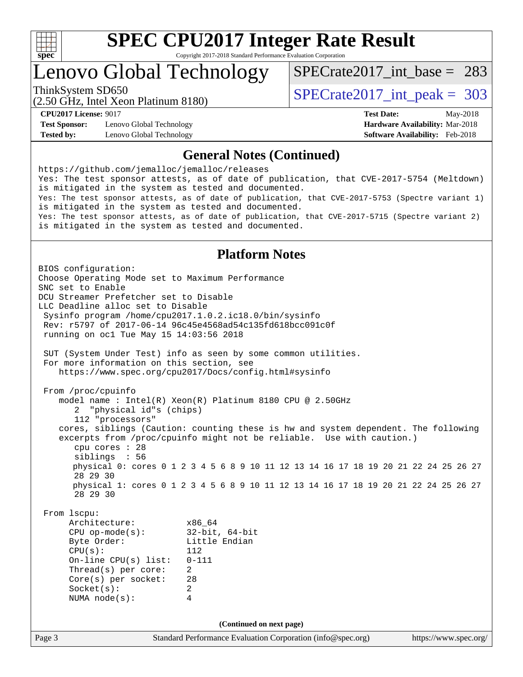

### Lenovo Global Technology

[SPECrate2017\\_int\\_base =](http://www.spec.org/auto/cpu2017/Docs/result-fields.html#SPECrate2017intbase) 283

(2.50 GHz, Intel Xeon Platinum 8180)

ThinkSystem SD650<br>  $(2.50 \text{ GHz. Intel Yoon Plotinum } $180)$  SPECrate 2017\_int\_peak = 303

**[Test Sponsor:](http://www.spec.org/auto/cpu2017/Docs/result-fields.html#TestSponsor)** Lenovo Global Technology **[Hardware Availability:](http://www.spec.org/auto/cpu2017/Docs/result-fields.html#HardwareAvailability)** Mar-2018 **[Tested by:](http://www.spec.org/auto/cpu2017/Docs/result-fields.html#Testedby)** Lenovo Global Technology **[Software Availability:](http://www.spec.org/auto/cpu2017/Docs/result-fields.html#SoftwareAvailability)** Feb-2018

**[CPU2017 License:](http://www.spec.org/auto/cpu2017/Docs/result-fields.html#CPU2017License)** 9017 **[Test Date:](http://www.spec.org/auto/cpu2017/Docs/result-fields.html#TestDate)** May-2018

#### **[General Notes \(Continued\)](http://www.spec.org/auto/cpu2017/Docs/result-fields.html#GeneralNotes)**

<https://github.com/jemalloc/jemalloc/releases> Yes: The test sponsor attests, as of date of publication, that CVE-2017-5754 (Meltdown) is mitigated in the system as tested and documented. Yes: The test sponsor attests, as of date of publication, that CVE-2017-5753 (Spectre variant 1) is mitigated in the system as tested and documented. Yes: The test sponsor attests, as of date of publication, that CVE-2017-5715 (Spectre variant 2) is mitigated in the system as tested and documented.

#### **[Platform Notes](http://www.spec.org/auto/cpu2017/Docs/result-fields.html#PlatformNotes)**

Page 3 Standard Performance Evaluation Corporation [\(info@spec.org\)](mailto:info@spec.org) <https://www.spec.org/> BIOS configuration: Choose Operating Mode set to Maximum Performance SNC set to Enable DCU Streamer Prefetcher set to Disable LLC Deadline alloc set to Disable Sysinfo program /home/cpu2017.1.0.2.ic18.0/bin/sysinfo Rev: r5797 of 2017-06-14 96c45e4568ad54c135fd618bcc091c0f running on oc1 Tue May 15 14:03:56 2018 SUT (System Under Test) info as seen by some common utilities. For more information on this section, see <https://www.spec.org/cpu2017/Docs/config.html#sysinfo> From /proc/cpuinfo model name : Intel(R) Xeon(R) Platinum 8180 CPU @ 2.50GHz 2 "physical id"s (chips) 112 "processors" cores, siblings (Caution: counting these is hw and system dependent. The following excerpts from /proc/cpuinfo might not be reliable. Use with caution.) cpu cores : 28 siblings : 56 physical 0: cores 0 1 2 3 4 5 6 8 9 10 11 12 13 14 16 17 18 19 20 21 22 24 25 26 27 28 29 30 physical 1: cores 0 1 2 3 4 5 6 8 9 10 11 12 13 14 16 17 18 19 20 21 22 24 25 26 27 28 29 30 From lscpu: Architecture: x86\_64<br>
CPU op-mode(s): 32-bit, 64-bit CPU op-mode(s):<br>Byte Order: Little Endian CPU(s): 112 On-line CPU(s) list: 0-111 Thread(s) per core: 2 Core(s) per socket: 28 Socket(s): 2 NUMA node(s): 4 **(Continued on next page)**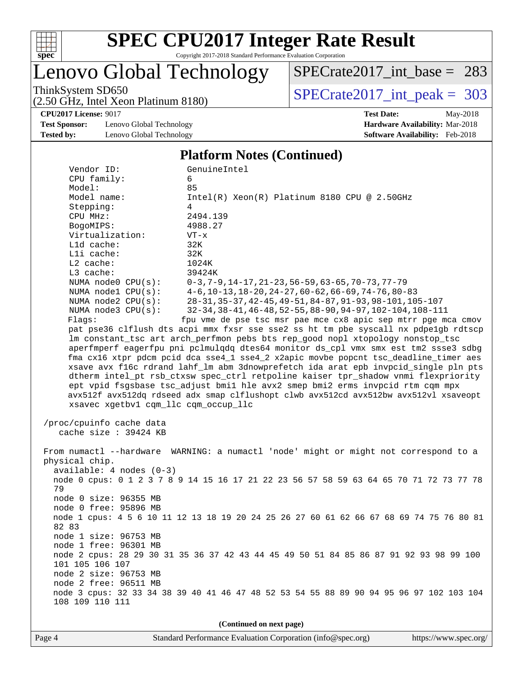

# Lenovo Global Technology

[SPECrate2017\\_int\\_base =](http://www.spec.org/auto/cpu2017/Docs/result-fields.html#SPECrate2017intbase) 283

(2.50 GHz, Intel Xeon Platinum 8180)

ThinkSystem SD650<br>  $(2.50 \text{ GHz})$  Intel Xeon Platinum 8180)

**[Test Sponsor:](http://www.spec.org/auto/cpu2017/Docs/result-fields.html#TestSponsor)** Lenovo Global Technology **[Hardware Availability:](http://www.spec.org/auto/cpu2017/Docs/result-fields.html#HardwareAvailability)** Mar-2018 **[Tested by:](http://www.spec.org/auto/cpu2017/Docs/result-fields.html#Testedby)** Lenovo Global Technology **[Software Availability:](http://www.spec.org/auto/cpu2017/Docs/result-fields.html#SoftwareAvailability)** Feb-2018

**[CPU2017 License:](http://www.spec.org/auto/cpu2017/Docs/result-fields.html#CPU2017License)** 9017 **[Test Date:](http://www.spec.org/auto/cpu2017/Docs/result-fields.html#TestDate)** May-2018

#### **[Platform Notes \(Continued\)](http://www.spec.org/auto/cpu2017/Docs/result-fields.html#PlatformNotes)**

| Vendor ID:<br>CPU family:            | GenuineIntel<br>6                                                                       |  |  |  |  |  |
|--------------------------------------|-----------------------------------------------------------------------------------------|--|--|--|--|--|
| Model:                               | 85                                                                                      |  |  |  |  |  |
| Model name:                          | $Intel(R) Xeon(R) Platinum 8180 CPU @ 2.50GHz$                                          |  |  |  |  |  |
| Stepping:                            | 4                                                                                       |  |  |  |  |  |
| CPU MHz:                             | 2494.139                                                                                |  |  |  |  |  |
| BogoMIPS:                            | 4988.27                                                                                 |  |  |  |  |  |
| Virtualization:                      | $VT - x$                                                                                |  |  |  |  |  |
| Lld cache:                           | 32K                                                                                     |  |  |  |  |  |
| Lli cache:                           | 32K                                                                                     |  |  |  |  |  |
| $L2$ cache:<br>L3 cache:             | 1024K                                                                                   |  |  |  |  |  |
| NUMA node0 CPU(s):                   | 39424K<br>$0-3, 7-9, 14-17, 21-23, 56-59, 63-65, 70-73, 77-79$                          |  |  |  |  |  |
| NUMA nodel $CPU(s):$                 | $4-6$ , 10-13, 18-20, 24-27, 60-62, 66-69, 74-76, 80-83                                 |  |  |  |  |  |
| NUMA node2 CPU(s):                   | 28-31, 35-37, 42-45, 49-51, 84-87, 91-93, 98-101, 105-107                               |  |  |  |  |  |
| NUMA $node3$ $CPU(s):$               | 32-34, 38-41, 46-48, 52-55, 88-90, 94-97, 102-104, 108-111                              |  |  |  |  |  |
| Flagg:                               | fpu vme de pse tsc msr pae mce cx8 apic sep mtrr pge mca cmov                           |  |  |  |  |  |
|                                      | pat pse36 clflush dts acpi mmx fxsr sse sse2 ss ht tm pbe syscall nx pdpelgb rdtscp     |  |  |  |  |  |
|                                      | lm constant_tsc art arch_perfmon pebs bts rep_good nopl xtopology nonstop_tsc           |  |  |  |  |  |
|                                      | aperfmperf eagerfpu pni pclmulqdq dtes64 monitor ds_cpl vmx smx est tm2 ssse3 sdbg      |  |  |  |  |  |
|                                      | fma cx16 xtpr pdcm pcid dca sse4_1 sse4_2 x2apic movbe popcnt tsc_deadline_timer aes    |  |  |  |  |  |
|                                      | xsave avx f16c rdrand lahf_lm abm 3dnowprefetch ida arat epb invpcid_single pln pts     |  |  |  |  |  |
|                                      | dtherm intel_pt rsb_ctxsw spec_ctrl retpoline kaiser tpr_shadow vnmi flexpriority       |  |  |  |  |  |
|                                      | ept vpid fsgsbase tsc_adjust bmil hle avx2 smep bmi2 erms invpcid rtm cqm mpx           |  |  |  |  |  |
| xsavec xgetbv1 cqm_llc cqm_occup_llc | avx512f avx512dq rdseed adx smap clflushopt clwb avx512cd avx512bw avx512vl xsaveopt    |  |  |  |  |  |
|                                      |                                                                                         |  |  |  |  |  |
| /proc/cpuinfo cache data             |                                                                                         |  |  |  |  |  |
| cache size : 39424 KB                |                                                                                         |  |  |  |  |  |
|                                      | From numactl --hardware WARNING: a numactl 'node' might or might not correspond to a    |  |  |  |  |  |
| physical chip.                       |                                                                                         |  |  |  |  |  |
| $available: 4 nodes (0-3)$           |                                                                                         |  |  |  |  |  |
|                                      | node 0 cpus: 0 1 2 3 7 8 9 14 15 16 17 21 22 23 56 57 58 59 63 64 65 70 71 72 73 77 78  |  |  |  |  |  |
| 79<br>node 0 size: 96355 MB          |                                                                                         |  |  |  |  |  |
| node 0 free: 95896 MB                |                                                                                         |  |  |  |  |  |
|                                      | node 1 cpus: 4 5 6 10 11 12 13 18 19 20 24 25 26 27 60 61 62 66 67 68 69 74 75 76 80 81 |  |  |  |  |  |
| 82 83                                |                                                                                         |  |  |  |  |  |
| node 1 size: 96753 MB                |                                                                                         |  |  |  |  |  |
| node 1 free: 96301 MB                |                                                                                         |  |  |  |  |  |
|                                      | node 2 cpus: 28 29 30 31 35 36 37 42 43 44 45 49 50 51 84 85 86 87 91 92 93 98 99 100   |  |  |  |  |  |
| 101 105 106 107                      |                                                                                         |  |  |  |  |  |
| node 2 size: 96753 MB                |                                                                                         |  |  |  |  |  |
| node 2 free: 96511 MB                |                                                                                         |  |  |  |  |  |
| 108 109 110 111                      | node 3 cpus: 32 33 34 38 39 40 41 46 47 48 52 53 54 55 88 89 90 94 95 96 97 102 103 104 |  |  |  |  |  |
|                                      |                                                                                         |  |  |  |  |  |
| (Continued on next page)             |                                                                                         |  |  |  |  |  |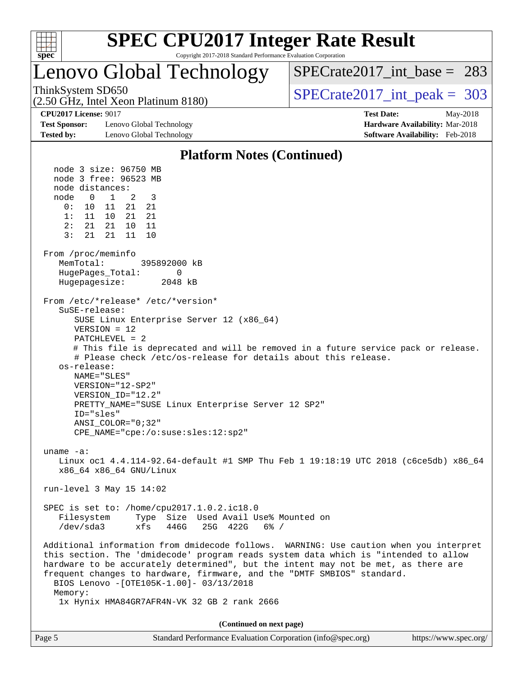

### Lenovo Global Technology

[SPECrate2017\\_int\\_base =](http://www.spec.org/auto/cpu2017/Docs/result-fields.html#SPECrate2017intbase) 283

ThinkSystem SD650  $SPECrate2017\_int\_peak = 303$ 

**[Test Sponsor:](http://www.spec.org/auto/cpu2017/Docs/result-fields.html#TestSponsor)** Lenovo Global Technology **[Hardware Availability:](http://www.spec.org/auto/cpu2017/Docs/result-fields.html#HardwareAvailability)** Mar-2018 **[Tested by:](http://www.spec.org/auto/cpu2017/Docs/result-fields.html#Testedby)** Lenovo Global Technology **[Software Availability:](http://www.spec.org/auto/cpu2017/Docs/result-fields.html#SoftwareAvailability)** Feb-2018

(2.50 GHz, Intel Xeon Platinum 8180)

**[CPU2017 License:](http://www.spec.org/auto/cpu2017/Docs/result-fields.html#CPU2017License)** 9017 **[Test Date:](http://www.spec.org/auto/cpu2017/Docs/result-fields.html#TestDate)** May-2018

#### **[Platform Notes \(Continued\)](http://www.spec.org/auto/cpu2017/Docs/result-fields.html#PlatformNotes)** node 3 size: 96750 MB node 3 free: 96523 MB node distances: node 0 1 2 3 0: 10 11 21 21 1: 11 10 21 21 2: 21 21 10 11 3: 21 21 11 10 From /proc/meminfo MemTotal: 395892000 kB HugePages Total: 0 Hugepagesize: 2048 kB From /etc/\*release\* /etc/\*version\* SuSE-release: SUSE Linux Enterprise Server 12 (x86\_64) VERSION = 12 PATCHLEVEL = 2 # This file is deprecated and will be removed in a future service pack or release. # Please check /etc/os-release for details about this release. os-release: NAME="SLES" VERSION="12-SP2" VERSION\_ID="12.2" PRETTY\_NAME="SUSE Linux Enterprise Server 12 SP2" ID="sles" ANSI\_COLOR="0;32" CPE\_NAME="cpe:/o:suse:sles:12:sp2" uname -a: Linux oc1 4.4.114-92.64-default #1 SMP Thu Feb 1 19:18:19 UTC 2018 (c6ce5db) x86\_64 x86\_64 x86\_64 GNU/Linux run-level 3 May 15 14:02 SPEC is set to: /home/cpu2017.1.0.2.ic18.0 Filesystem Type Size Used Avail Use% Mounted on /dev/sda3 xfs 446G 25G 422G 6% / Additional information from dmidecode follows. WARNING: Use caution when you interpret this section. The 'dmidecode' program reads system data which is "intended to allow hardware to be accurately determined", but the intent may not be met, as there are frequent changes to hardware, firmware, and the "DMTF SMBIOS" standard. BIOS Lenovo -[OTE105K-1.00]- 03/13/2018 Memory: 1x Hynix HMA84GR7AFR4N-VK 32 GB 2 rank 2666 **(Continued on next page)**

| Page 5 | Standard Performance Evaluation Corporation (info@spec.org) | https://www.spec.org/ |
|--------|-------------------------------------------------------------|-----------------------|
|        |                                                             |                       |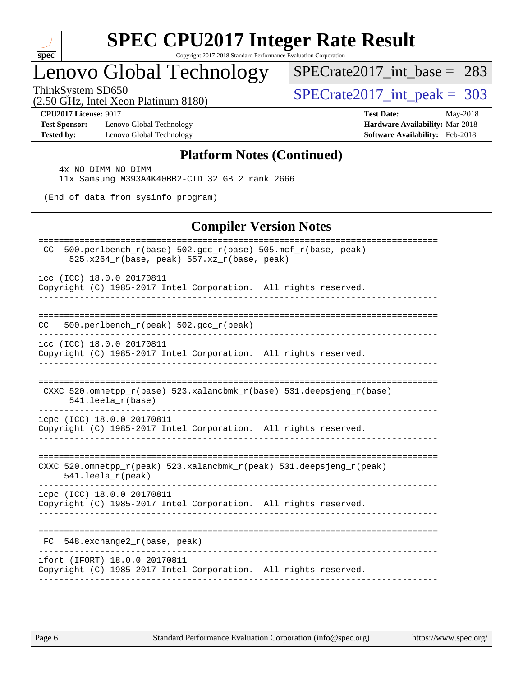

## Lenovo Global Technology

[SPECrate2017\\_int\\_base =](http://www.spec.org/auto/cpu2017/Docs/result-fields.html#SPECrate2017intbase) 283

(2.50 GHz, Intel Xeon Platinum 8180)

ThinkSystem SD650<br>(2.50 GHz, Intel Xeon Platinum 8180)  $\begin{array}{r} | \text{SPECrate2017\_int\_peak} = 303 \end{array}$ 

**[Test Sponsor:](http://www.spec.org/auto/cpu2017/Docs/result-fields.html#TestSponsor)** Lenovo Global Technology **[Hardware Availability:](http://www.spec.org/auto/cpu2017/Docs/result-fields.html#HardwareAvailability)** Mar-2018 [Tested by:](http://www.spec.org/auto/cpu2017/Docs/result-fields.html#Testedby) Lenovo Global Technology **[Software Availability:](http://www.spec.org/auto/cpu2017/Docs/result-fields.html#SoftwareAvailability)** Feb-2018

**[CPU2017 License:](http://www.spec.org/auto/cpu2017/Docs/result-fields.html#CPU2017License)** 9017 **[Test Date:](http://www.spec.org/auto/cpu2017/Docs/result-fields.html#TestDate)** May-2018

#### **[Platform Notes \(Continued\)](http://www.spec.org/auto/cpu2017/Docs/result-fields.html#PlatformNotes)**

 4x NO DIMM NO DIMM 11x Samsung M393A4K40BB2-CTD 32 GB 2 rank 2666

(End of data from sysinfo program)

#### **[Compiler Version Notes](http://www.spec.org/auto/cpu2017/Docs/result-fields.html#CompilerVersionNotes)**

| 500.perlbench_r(base) 502.gcc_r(base) 505.mcf_r(base, peak)<br>CC.<br>525.x264_r(base, peak) 557.xz_r(base, peak) |
|-------------------------------------------------------------------------------------------------------------------|
| icc (ICC) 18.0.0 20170811<br>Copyright (C) 1985-2017 Intel Corporation. All rights reserved.                      |
|                                                                                                                   |
| 500.perlbench $r(\text{peak})$ 502.gcc $r(\text{peak})$<br>CC.                                                    |
| icc (ICC) 18.0.0 20170811<br>Copyright (C) 1985-2017 Intel Corporation. All rights reserved.                      |
| CXXC 520.omnetpp_r(base) 523.xalancbmk_r(base) 531.deepsjeng_r(base)<br>541.leela_r(base)                         |
| icpc (ICC) 18.0.0 20170811<br>Copyright (C) 1985-2017 Intel Corporation. All rights reserved.                     |
| CXXC 520.omnetpp_r(peak) 523.xalancbmk_r(peak) 531.deepsjeng_r(peak)<br>541.leela_r(peak)                         |
| icpc (ICC) 18.0.0 20170811<br>Copyright (C) 1985-2017 Intel Corporation. All rights reserved.                     |
| 548.exchange2_r(base, peak)<br>FC.                                                                                |
| ifort (IFORT) 18.0.0 20170811<br>Copyright (C) 1985-2017 Intel Corporation. All rights reserved.                  |
|                                                                                                                   |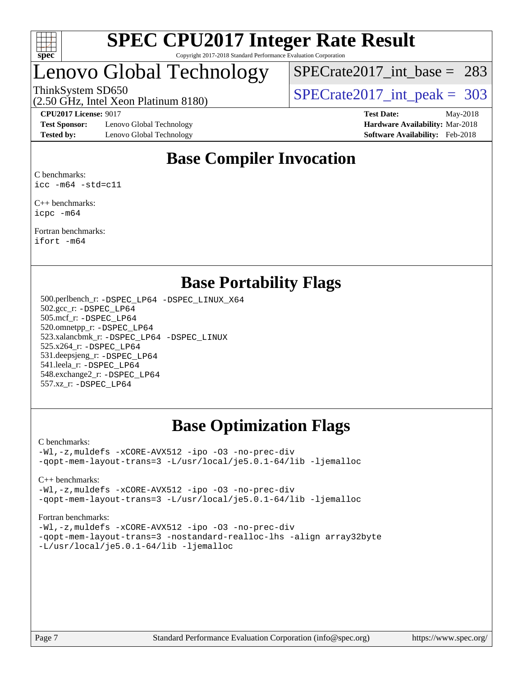

## Lenovo Global Technology

[SPECrate2017\\_int\\_base =](http://www.spec.org/auto/cpu2017/Docs/result-fields.html#SPECrate2017intbase) 283

ThinkSystem SD650<br>  $\frac{1}{2}$  [SPECrate2017\\_int\\_peak =](http://www.spec.org/auto/cpu2017/Docs/result-fields.html#SPECrate2017intpeak) 303

## (2.50 GHz, Intel Xeon Platinum 8180)

**[Test Sponsor:](http://www.spec.org/auto/cpu2017/Docs/result-fields.html#TestSponsor)** Lenovo Global Technology **[Hardware Availability:](http://www.spec.org/auto/cpu2017/Docs/result-fields.html#HardwareAvailability)** Mar-2018 **[Tested by:](http://www.spec.org/auto/cpu2017/Docs/result-fields.html#Testedby)** Lenovo Global Technology **[Software Availability:](http://www.spec.org/auto/cpu2017/Docs/result-fields.html#SoftwareAvailability)** Feb-2018

**[CPU2017 License:](http://www.spec.org/auto/cpu2017/Docs/result-fields.html#CPU2017License)** 9017 **[Test Date:](http://www.spec.org/auto/cpu2017/Docs/result-fields.html#TestDate)** May-2018

### **[Base Compiler Invocation](http://www.spec.org/auto/cpu2017/Docs/result-fields.html#BaseCompilerInvocation)**

[C benchmarks:](http://www.spec.org/auto/cpu2017/Docs/result-fields.html#Cbenchmarks) [icc -m64 -std=c11](http://www.spec.org/cpu2017/results/res2018q4/cpu2017-20181210-10093.flags.html#user_CCbase_intel_icc_64bit_c11_33ee0cdaae7deeeab2a9725423ba97205ce30f63b9926c2519791662299b76a0318f32ddfffdc46587804de3178b4f9328c46fa7c2b0cd779d7a61945c91cd35)

[C++ benchmarks](http://www.spec.org/auto/cpu2017/Docs/result-fields.html#CXXbenchmarks): [icpc -m64](http://www.spec.org/cpu2017/results/res2018q4/cpu2017-20181210-10093.flags.html#user_CXXbase_intel_icpc_64bit_4ecb2543ae3f1412ef961e0650ca070fec7b7afdcd6ed48761b84423119d1bf6bdf5cad15b44d48e7256388bc77273b966e5eb805aefd121eb22e9299b2ec9d9)

[Fortran benchmarks:](http://www.spec.org/auto/cpu2017/Docs/result-fields.html#Fortranbenchmarks) [ifort -m64](http://www.spec.org/cpu2017/results/res2018q4/cpu2017-20181210-10093.flags.html#user_FCbase_intel_ifort_64bit_24f2bb282fbaeffd6157abe4f878425411749daecae9a33200eee2bee2fe76f3b89351d69a8130dd5949958ce389cf37ff59a95e7a40d588e8d3a57e0c3fd751)

### **[Base Portability Flags](http://www.spec.org/auto/cpu2017/Docs/result-fields.html#BasePortabilityFlags)**

 500.perlbench\_r: [-DSPEC\\_LP64](http://www.spec.org/cpu2017/results/res2018q4/cpu2017-20181210-10093.flags.html#b500.perlbench_r_basePORTABILITY_DSPEC_LP64) [-DSPEC\\_LINUX\\_X64](http://www.spec.org/cpu2017/results/res2018q4/cpu2017-20181210-10093.flags.html#b500.perlbench_r_baseCPORTABILITY_DSPEC_LINUX_X64) 502.gcc\_r: [-DSPEC\\_LP64](http://www.spec.org/cpu2017/results/res2018q4/cpu2017-20181210-10093.flags.html#suite_basePORTABILITY502_gcc_r_DSPEC_LP64) 505.mcf\_r: [-DSPEC\\_LP64](http://www.spec.org/cpu2017/results/res2018q4/cpu2017-20181210-10093.flags.html#suite_basePORTABILITY505_mcf_r_DSPEC_LP64) 520.omnetpp\_r: [-DSPEC\\_LP64](http://www.spec.org/cpu2017/results/res2018q4/cpu2017-20181210-10093.flags.html#suite_basePORTABILITY520_omnetpp_r_DSPEC_LP64) 523.xalancbmk\_r: [-DSPEC\\_LP64](http://www.spec.org/cpu2017/results/res2018q4/cpu2017-20181210-10093.flags.html#suite_basePORTABILITY523_xalancbmk_r_DSPEC_LP64) [-DSPEC\\_LINUX](http://www.spec.org/cpu2017/results/res2018q4/cpu2017-20181210-10093.flags.html#b523.xalancbmk_r_baseCXXPORTABILITY_DSPEC_LINUX) 525.x264\_r: [-DSPEC\\_LP64](http://www.spec.org/cpu2017/results/res2018q4/cpu2017-20181210-10093.flags.html#suite_basePORTABILITY525_x264_r_DSPEC_LP64) 531.deepsjeng\_r: [-DSPEC\\_LP64](http://www.spec.org/cpu2017/results/res2018q4/cpu2017-20181210-10093.flags.html#suite_basePORTABILITY531_deepsjeng_r_DSPEC_LP64) 541.leela\_r: [-DSPEC\\_LP64](http://www.spec.org/cpu2017/results/res2018q4/cpu2017-20181210-10093.flags.html#suite_basePORTABILITY541_leela_r_DSPEC_LP64) 548.exchange2\_r: [-DSPEC\\_LP64](http://www.spec.org/cpu2017/results/res2018q4/cpu2017-20181210-10093.flags.html#suite_basePORTABILITY548_exchange2_r_DSPEC_LP64) 557.xz\_r: [-DSPEC\\_LP64](http://www.spec.org/cpu2017/results/res2018q4/cpu2017-20181210-10093.flags.html#suite_basePORTABILITY557_xz_r_DSPEC_LP64)

### **[Base Optimization Flags](http://www.spec.org/auto/cpu2017/Docs/result-fields.html#BaseOptimizationFlags)**

#### [C benchmarks](http://www.spec.org/auto/cpu2017/Docs/result-fields.html#Cbenchmarks):

[-Wl,-z,muldefs](http://www.spec.org/cpu2017/results/res2018q4/cpu2017-20181210-10093.flags.html#user_CCbase_link_force_multiple1_b4cbdb97b34bdee9ceefcfe54f4c8ea74255f0b02a4b23e853cdb0e18eb4525ac79b5a88067c842dd0ee6996c24547a27a4b99331201badda8798ef8a743f577) [-xCORE-AVX512](http://www.spec.org/cpu2017/results/res2018q4/cpu2017-20181210-10093.flags.html#user_CCbase_f-xCORE-AVX512) [-ipo](http://www.spec.org/cpu2017/results/res2018q4/cpu2017-20181210-10093.flags.html#user_CCbase_f-ipo) [-O3](http://www.spec.org/cpu2017/results/res2018q4/cpu2017-20181210-10093.flags.html#user_CCbase_f-O3) [-no-prec-div](http://www.spec.org/cpu2017/results/res2018q4/cpu2017-20181210-10093.flags.html#user_CCbase_f-no-prec-div) [-qopt-mem-layout-trans=3](http://www.spec.org/cpu2017/results/res2018q4/cpu2017-20181210-10093.flags.html#user_CCbase_f-qopt-mem-layout-trans_de80db37974c74b1f0e20d883f0b675c88c3b01e9d123adea9b28688d64333345fb62bc4a798493513fdb68f60282f9a726aa07f478b2f7113531aecce732043) [-L/usr/local/je5.0.1-64/lib](http://www.spec.org/cpu2017/results/res2018q4/cpu2017-20181210-10093.flags.html#user_CCbase_jemalloc_link_path64_4b10a636b7bce113509b17f3bd0d6226c5fb2346b9178c2d0232c14f04ab830f976640479e5c33dc2bcbbdad86ecfb6634cbbd4418746f06f368b512fced5394) [-ljemalloc](http://www.spec.org/cpu2017/results/res2018q4/cpu2017-20181210-10093.flags.html#user_CCbase_jemalloc_link_lib_d1249b907c500fa1c0672f44f562e3d0f79738ae9e3c4a9c376d49f265a04b9c99b167ecedbf6711b3085be911c67ff61f150a17b3472be731631ba4d0471706)

[C++ benchmarks:](http://www.spec.org/auto/cpu2017/Docs/result-fields.html#CXXbenchmarks)

[-Wl,-z,muldefs](http://www.spec.org/cpu2017/results/res2018q4/cpu2017-20181210-10093.flags.html#user_CXXbase_link_force_multiple1_b4cbdb97b34bdee9ceefcfe54f4c8ea74255f0b02a4b23e853cdb0e18eb4525ac79b5a88067c842dd0ee6996c24547a27a4b99331201badda8798ef8a743f577) [-xCORE-AVX512](http://www.spec.org/cpu2017/results/res2018q4/cpu2017-20181210-10093.flags.html#user_CXXbase_f-xCORE-AVX512) [-ipo](http://www.spec.org/cpu2017/results/res2018q4/cpu2017-20181210-10093.flags.html#user_CXXbase_f-ipo) [-O3](http://www.spec.org/cpu2017/results/res2018q4/cpu2017-20181210-10093.flags.html#user_CXXbase_f-O3) [-no-prec-div](http://www.spec.org/cpu2017/results/res2018q4/cpu2017-20181210-10093.flags.html#user_CXXbase_f-no-prec-div) [-qopt-mem-layout-trans=3](http://www.spec.org/cpu2017/results/res2018q4/cpu2017-20181210-10093.flags.html#user_CXXbase_f-qopt-mem-layout-trans_de80db37974c74b1f0e20d883f0b675c88c3b01e9d123adea9b28688d64333345fb62bc4a798493513fdb68f60282f9a726aa07f478b2f7113531aecce732043) [-L/usr/local/je5.0.1-64/lib](http://www.spec.org/cpu2017/results/res2018q4/cpu2017-20181210-10093.flags.html#user_CXXbase_jemalloc_link_path64_4b10a636b7bce113509b17f3bd0d6226c5fb2346b9178c2d0232c14f04ab830f976640479e5c33dc2bcbbdad86ecfb6634cbbd4418746f06f368b512fced5394) [-ljemalloc](http://www.spec.org/cpu2017/results/res2018q4/cpu2017-20181210-10093.flags.html#user_CXXbase_jemalloc_link_lib_d1249b907c500fa1c0672f44f562e3d0f79738ae9e3c4a9c376d49f265a04b9c99b167ecedbf6711b3085be911c67ff61f150a17b3472be731631ba4d0471706)

[Fortran benchmarks](http://www.spec.org/auto/cpu2017/Docs/result-fields.html#Fortranbenchmarks):

[-Wl,-z,muldefs](http://www.spec.org/cpu2017/results/res2018q4/cpu2017-20181210-10093.flags.html#user_FCbase_link_force_multiple1_b4cbdb97b34bdee9ceefcfe54f4c8ea74255f0b02a4b23e853cdb0e18eb4525ac79b5a88067c842dd0ee6996c24547a27a4b99331201badda8798ef8a743f577) [-xCORE-AVX512](http://www.spec.org/cpu2017/results/res2018q4/cpu2017-20181210-10093.flags.html#user_FCbase_f-xCORE-AVX512) [-ipo](http://www.spec.org/cpu2017/results/res2018q4/cpu2017-20181210-10093.flags.html#user_FCbase_f-ipo) [-O3](http://www.spec.org/cpu2017/results/res2018q4/cpu2017-20181210-10093.flags.html#user_FCbase_f-O3) [-no-prec-div](http://www.spec.org/cpu2017/results/res2018q4/cpu2017-20181210-10093.flags.html#user_FCbase_f-no-prec-div) [-qopt-mem-layout-trans=3](http://www.spec.org/cpu2017/results/res2018q4/cpu2017-20181210-10093.flags.html#user_FCbase_f-qopt-mem-layout-trans_de80db37974c74b1f0e20d883f0b675c88c3b01e9d123adea9b28688d64333345fb62bc4a798493513fdb68f60282f9a726aa07f478b2f7113531aecce732043) [-nostandard-realloc-lhs](http://www.spec.org/cpu2017/results/res2018q4/cpu2017-20181210-10093.flags.html#user_FCbase_f_2003_std_realloc_82b4557e90729c0f113870c07e44d33d6f5a304b4f63d4c15d2d0f1fab99f5daaed73bdb9275d9ae411527f28b936061aa8b9c8f2d63842963b95c9dd6426b8a) [-align array32byte](http://www.spec.org/cpu2017/results/res2018q4/cpu2017-20181210-10093.flags.html#user_FCbase_align_array32byte_b982fe038af199962ba9a80c053b8342c548c85b40b8e86eb3cc33dee0d7986a4af373ac2d51c3f7cf710a18d62fdce2948f201cd044323541f22fc0fffc51b6) [-L/usr/local/je5.0.1-64/lib](http://www.spec.org/cpu2017/results/res2018q4/cpu2017-20181210-10093.flags.html#user_FCbase_jemalloc_link_path64_4b10a636b7bce113509b17f3bd0d6226c5fb2346b9178c2d0232c14f04ab830f976640479e5c33dc2bcbbdad86ecfb6634cbbd4418746f06f368b512fced5394) [-ljemalloc](http://www.spec.org/cpu2017/results/res2018q4/cpu2017-20181210-10093.flags.html#user_FCbase_jemalloc_link_lib_d1249b907c500fa1c0672f44f562e3d0f79738ae9e3c4a9c376d49f265a04b9c99b167ecedbf6711b3085be911c67ff61f150a17b3472be731631ba4d0471706)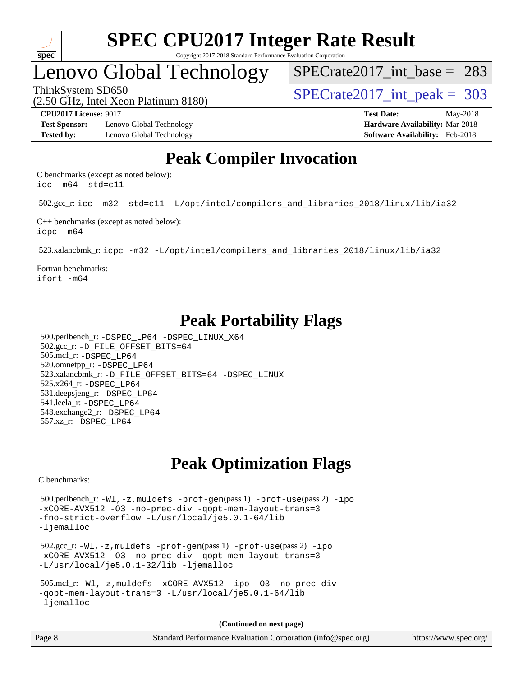

### Lenovo Global Technology

[SPECrate2017\\_int\\_base =](http://www.spec.org/auto/cpu2017/Docs/result-fields.html#SPECrate2017intbase) 283

(2.50 GHz, Intel Xeon Platinum 8180)

ThinkSystem SD650  $SPECrate2017\_int\_peak = 303$ 

**[Test Sponsor:](http://www.spec.org/auto/cpu2017/Docs/result-fields.html#TestSponsor)** Lenovo Global Technology **[Hardware Availability:](http://www.spec.org/auto/cpu2017/Docs/result-fields.html#HardwareAvailability)** Mar-2018 **[Tested by:](http://www.spec.org/auto/cpu2017/Docs/result-fields.html#Testedby)** Lenovo Global Technology **[Software Availability:](http://www.spec.org/auto/cpu2017/Docs/result-fields.html#SoftwareAvailability)** Feb-2018

**[CPU2017 License:](http://www.spec.org/auto/cpu2017/Docs/result-fields.html#CPU2017License)** 9017 **[Test Date:](http://www.spec.org/auto/cpu2017/Docs/result-fields.html#TestDate)** May-2018

### **[Peak Compiler Invocation](http://www.spec.org/auto/cpu2017/Docs/result-fields.html#PeakCompilerInvocation)**

[C benchmarks \(except as noted below\)](http://www.spec.org/auto/cpu2017/Docs/result-fields.html#Cbenchmarksexceptasnotedbelow): [icc -m64 -std=c11](http://www.spec.org/cpu2017/results/res2018q4/cpu2017-20181210-10093.flags.html#user_CCpeak_intel_icc_64bit_c11_33ee0cdaae7deeeab2a9725423ba97205ce30f63b9926c2519791662299b76a0318f32ddfffdc46587804de3178b4f9328c46fa7c2b0cd779d7a61945c91cd35)

502.gcc\_r: [icc -m32 -std=c11 -L/opt/intel/compilers\\_and\\_libraries\\_2018/linux/lib/ia32](http://www.spec.org/cpu2017/results/res2018q4/cpu2017-20181210-10093.flags.html#user_peakCCLD502_gcc_r_intel_icc_2aadaa14f62c0e1495cde6f74ba3d875dfbad9f2fd73ceb1e5b66a7d4b19dc13cfe8615ba85624bf35f0c003544b7d55013bf72425d956b559f9a2757f69c910)

[C++ benchmarks \(except as noted below\):](http://www.spec.org/auto/cpu2017/Docs/result-fields.html#CXXbenchmarksexceptasnotedbelow) [icpc -m64](http://www.spec.org/cpu2017/results/res2018q4/cpu2017-20181210-10093.flags.html#user_CXXpeak_intel_icpc_64bit_4ecb2543ae3f1412ef961e0650ca070fec7b7afdcd6ed48761b84423119d1bf6bdf5cad15b44d48e7256388bc77273b966e5eb805aefd121eb22e9299b2ec9d9)

523.xalancbmk\_r: [icpc -m32 -L/opt/intel/compilers\\_and\\_libraries\\_2018/linux/lib/ia32](http://www.spec.org/cpu2017/results/res2018q4/cpu2017-20181210-10093.flags.html#user_peakCXXLD523_xalancbmk_r_intel_icpc_49b8c4a2e52517df5e44233d8730ac3dfca5acbb5ef11df3347e50260a55109134bcb7fd2e543798dfd93e66566a4e08776ad3f7d40a4ff4276870c090f61f0e)

[Fortran benchmarks](http://www.spec.org/auto/cpu2017/Docs/result-fields.html#Fortranbenchmarks): [ifort -m64](http://www.spec.org/cpu2017/results/res2018q4/cpu2017-20181210-10093.flags.html#user_FCpeak_intel_ifort_64bit_24f2bb282fbaeffd6157abe4f878425411749daecae9a33200eee2bee2fe76f3b89351d69a8130dd5949958ce389cf37ff59a95e7a40d588e8d3a57e0c3fd751)

### **[Peak Portability Flags](http://www.spec.org/auto/cpu2017/Docs/result-fields.html#PeakPortabilityFlags)**

 500.perlbench\_r: [-DSPEC\\_LP64](http://www.spec.org/cpu2017/results/res2018q4/cpu2017-20181210-10093.flags.html#b500.perlbench_r_peakPORTABILITY_DSPEC_LP64) [-DSPEC\\_LINUX\\_X64](http://www.spec.org/cpu2017/results/res2018q4/cpu2017-20181210-10093.flags.html#b500.perlbench_r_peakCPORTABILITY_DSPEC_LINUX_X64) 502.gcc\_r: [-D\\_FILE\\_OFFSET\\_BITS=64](http://www.spec.org/cpu2017/results/res2018q4/cpu2017-20181210-10093.flags.html#user_peakPORTABILITY502_gcc_r_file_offset_bits_64_5ae949a99b284ddf4e95728d47cb0843d81b2eb0e18bdfe74bbf0f61d0b064f4bda2f10ea5eb90e1dcab0e84dbc592acfc5018bc955c18609f94ddb8d550002c) 505.mcf\_r: [-DSPEC\\_LP64](http://www.spec.org/cpu2017/results/res2018q4/cpu2017-20181210-10093.flags.html#suite_peakPORTABILITY505_mcf_r_DSPEC_LP64) 520.omnetpp\_r: [-DSPEC\\_LP64](http://www.spec.org/cpu2017/results/res2018q4/cpu2017-20181210-10093.flags.html#suite_peakPORTABILITY520_omnetpp_r_DSPEC_LP64) 523.xalancbmk\_r: [-D\\_FILE\\_OFFSET\\_BITS=64](http://www.spec.org/cpu2017/results/res2018q4/cpu2017-20181210-10093.flags.html#user_peakPORTABILITY523_xalancbmk_r_file_offset_bits_64_5ae949a99b284ddf4e95728d47cb0843d81b2eb0e18bdfe74bbf0f61d0b064f4bda2f10ea5eb90e1dcab0e84dbc592acfc5018bc955c18609f94ddb8d550002c) [-DSPEC\\_LINUX](http://www.spec.org/cpu2017/results/res2018q4/cpu2017-20181210-10093.flags.html#b523.xalancbmk_r_peakCXXPORTABILITY_DSPEC_LINUX) 525.x264\_r: [-DSPEC\\_LP64](http://www.spec.org/cpu2017/results/res2018q4/cpu2017-20181210-10093.flags.html#suite_peakPORTABILITY525_x264_r_DSPEC_LP64) 531.deepsjeng\_r: [-DSPEC\\_LP64](http://www.spec.org/cpu2017/results/res2018q4/cpu2017-20181210-10093.flags.html#suite_peakPORTABILITY531_deepsjeng_r_DSPEC_LP64) 541.leela\_r: [-DSPEC\\_LP64](http://www.spec.org/cpu2017/results/res2018q4/cpu2017-20181210-10093.flags.html#suite_peakPORTABILITY541_leela_r_DSPEC_LP64) 548.exchange2\_r: [-DSPEC\\_LP64](http://www.spec.org/cpu2017/results/res2018q4/cpu2017-20181210-10093.flags.html#suite_peakPORTABILITY548_exchange2_r_DSPEC_LP64) 557.xz\_r: [-DSPEC\\_LP64](http://www.spec.org/cpu2017/results/res2018q4/cpu2017-20181210-10093.flags.html#suite_peakPORTABILITY557_xz_r_DSPEC_LP64)

### **[Peak Optimization Flags](http://www.spec.org/auto/cpu2017/Docs/result-fields.html#PeakOptimizationFlags)**

[C benchmarks](http://www.spec.org/auto/cpu2017/Docs/result-fields.html#Cbenchmarks):

```
 500.perlbench_r: -Wl,-z,muldefs -prof-gen(pass 1) -prof-use(pass 2) -ipo
-xCORE-AVX512 -O3 -no-prec-div -qopt-mem-layout-trans=3
-fno-strict-overflow -L/usr/local/je5.0.1-64/lib
-ljemalloc
 502.gcc_r: -Wl,-z,muldefs -prof-gen(pass 1) -prof-use(pass 2) -ipo
-xCORE-AVX512 -O3 -no-prec-div -qopt-mem-layout-trans=3
-L/usr/local/je5.0.1-32/lib -ljemalloc
 505.mcf_r: -Wl,-z,muldefs -xCORE-AVX512 -ipo -O3 -no-prec-div
-qopt-mem-layout-trans=3 -L/usr/local/je5.0.1-64/lib
-ljemalloc
```
**(Continued on next page)**

| Page 8 | Standard Performance Evaluation Corporation (info@spec.org) | https://www.spec.org/ |
|--------|-------------------------------------------------------------|-----------------------|
|--------|-------------------------------------------------------------|-----------------------|